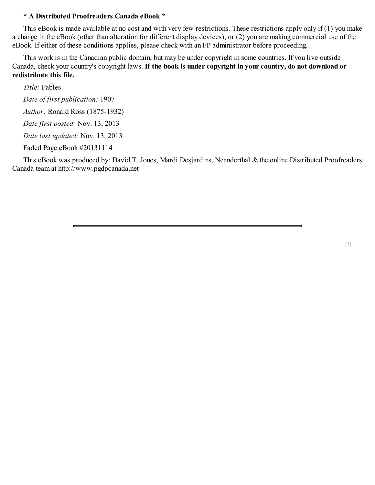#### **\* A Distributed Proofreaders Canada eBook \***

This eBook is made available at no cost and with very few restrictions. These restrictions apply only if (1) you make a change in the eBook (other than alteration for different display devices), or (2) you are making commercial use of the eBook. If either of these conditions applies, please check with an FP administrator before proceeding.

This work is in the Canadian public domain, but may be under copyright in some countries. If you live outside Canada, check your country's copyright laws. **If the book is under copyright in your country, do not download or redistribute this file.**

*Title:* Fables

*Date of first publication:* 1907 *Author:* Ronald Ross (1875-1932)

*Date first posted:* Nov. 13, 2013

*Date last updated:* Nov. 13, 2013

Faded Page eBook #20131114

This eBook was produced by: David T. Jones, Mardi Desjardins, Neanderthal & the online Distributed Proofreaders Canada team at http://www.pgdpcanada.net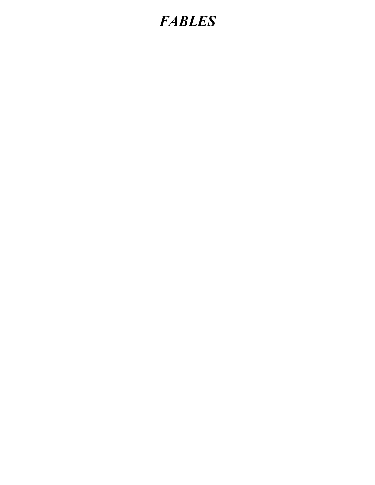# *FABLES*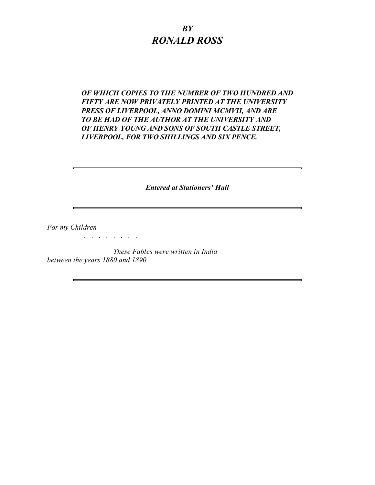### *BY RONALD ROSS*

#### *OF WHICH COPIES TO THE NUMBER OF TWO HUNDRED AND FIFTY ARE NOW PRIVATELY PRINTED AT THE UNIVERSITY PRESS OF LIVERPOOL, ANNO DOMINI MCMVII, AND ARE TO BE HAD OF THE AUTHOR AT THE UNIVERSITY AND OF HENRY YOUNG AND SONS OF SOUTH CASTLE STREET, LIVERPOOL, FOR TWO SHILLINGS AND SIX PENCE.*

*Entered at Stationers' Hall*

*For my Children*

*These Fables were written in India between the years 1880 and 1890*

. . . . . . . .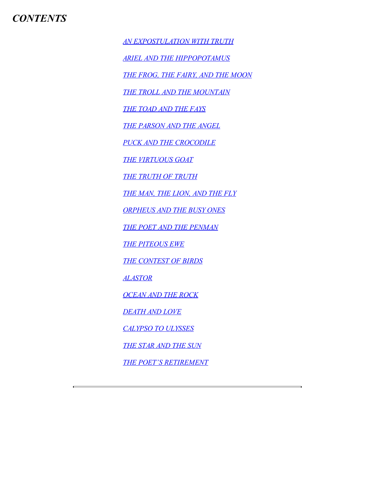*AN [EXPOSTULATION](#page-4-0) WITH TRUTH*

*ARIEL AND THE [HIPPOPOTAMUS](#page-5-0)*

*THE FROG, THE FAIRY, AND THE [MOON](#page-7-0)*

*THE TROLL AND THE [MOUNTAIN](#page-9-0)*

*THE [TOAD](#page-10-0) AND THE FAYS*

*THE [PARSON](#page-11-0) AND THE ANGEL*

*PUCK AND THE [CROCODILE](#page-12-0)*

*THE [VIRTUOUS](#page-13-0) GOAT*

*THE [TRUTH](#page-14-0) OF TRUTH*

*THE MAN, THE [LION,](#page-15-0) AND THE FLY*

*[ORPHEUS](#page-17-0) AND THE BUSY ONES*

*THE POET AND THE [PENMAN](#page-19-0)*

*THE [PITEOUS](#page-22-0) EWE*

*THE [CONTEST](#page-26-0) OF BIRDS*

*[ALASTOR](#page-29-0)*

*[OCEAN](#page-31-0) AND THE ROCK*

*[DEATH](#page-32-0) AND LOVE*

*[CALYPSO](#page-33-0) TO ULYSSES*

*THE [STAR](#page-34-0) AND THE SUN*

*THE POET'S [RETIREMENT](#page-35-0)*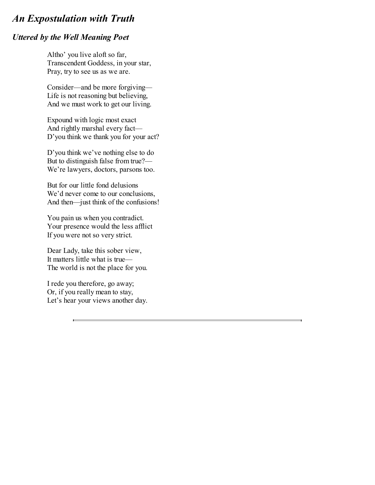# <span id="page-4-0"></span>*An Expostulation with Truth*

#### *Uttered by the Well Meaning Poet*

Altho' you live aloft so far, Transcendent Goddess, in your star, Pray, try to see us as we are.

Consider—and be more forgiving— Life is not reasoning but believing, And we must work to get our living.

Expound with logic most exact And rightly marshal every fact— D'you think we thank you for your act?

D'you think we've nothing else to do But to distinguish false from true?— We're lawyers, doctors, parsons too.

But for our little fond delusions We'd never come to our conclusions, And then—just think of the confusions!

You pain us when you contradict. Your presence would the less afflict If you were not so very strict.

Dear Lady, take this sober view, It matters little what is true— The world is not the place for you.

I rede you therefore, go away; Or, if you really mean to stay, Let's hear your views another day.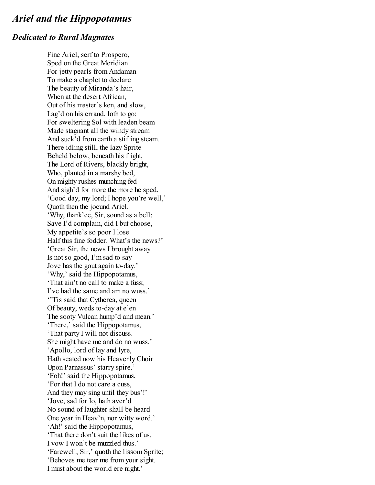# <span id="page-5-0"></span>*Ariel and the Hippopotamus*

#### *Dedicated to Rural Magnates*

Fine Ariel, serf to Prospero, Sped on the Great Meridian For jetty pearls from Andaman To make a chaplet to declare The beauty of Miranda's hair, When at the desert African, Out of his master's ken, and slow, Lag'd on his errand, loth to go: For sweltering Sol with leaden beam Made stagnant all the windy stream And suck'd from earth a stifling steam. There idling still, the lazy Sprite Beheld below, beneath his flight, The Lord of Rivers, blackly bright, Who, planted in a marshy bed, On mighty rushes munching fed And sigh'd for more the more he sped. 'Good day, my lord; I hope you're well,' Quoth then the jocund Ariel. 'Why, thank'ee, Sir, sound as a bell; Save I'd complain, did I but choose, My appetite's so poor I lose Half this fine fodder. What's the news?' 'Great Sir, the news I brought away Is not so good, I'm sad to say— Jove has the gout again to-day.' 'Why,' said the Hippopotamus, 'That ain't no call to make a fuss; I've had the same and am no wuss.' ''Tis said that Cytherea, queen Of beauty, weds to-day at e'en The sooty Vulcan hump'd and mean.' 'There,' said the Hippopotamus, 'That party I will not discuss. She might have me and do no wuss.' 'Apollo, lord of lay and lyre, Hath seated now his Heavenly Choir Upon Parnassus' starry spire.' 'Foh!' said the Hippopotamus, 'For that I do not care a cuss, And they may sing until they bus'!' 'Jove, sad for Io, hath aver'd No sound of laughter shall be heard One year in Heav'n, nor witty word.' 'Ah!' said the Hippopotamus, 'That there don't suit the likes of us. I vow I won't be muzzled thus.' 'Farewell, Sir,' quoth the lissom Sprite; 'Behoves me tear me from your sight. I must about the world ere night.'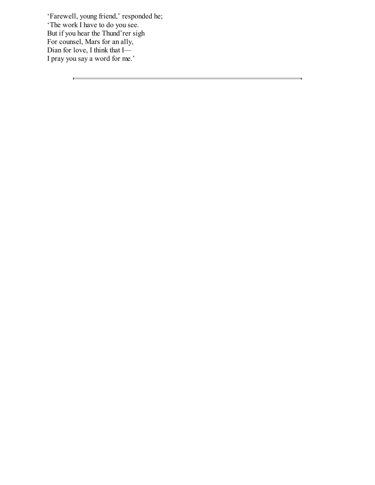'Farewell, young friend,' responded he; 'The work I have to do you see. But if you hear the Thund'rer sigh For counsel, Mars for an ally, Dian for love, I think that I— I pray you say a word for me.'

 $\blacksquare$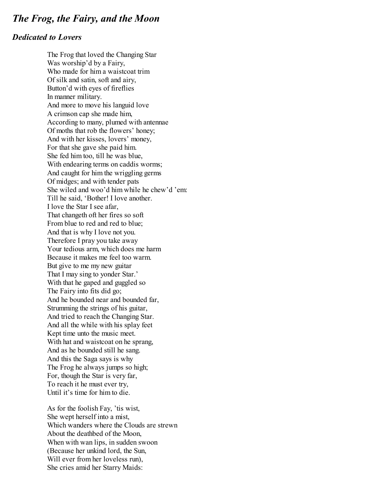### <span id="page-7-0"></span>*The Frog, the Fairy, and the Moon*

#### *Dedicated to Lovers*

The Frog that loved the Changing Star Was worship'd by a Fairy, Who made for him a waistcoat trim Of silk and satin, soft and airy, Button'd with eyes of fireflies In manner military. And more to move his languid love A crimson cap she made him, According to many, plumed with antennae Of moths that rob the flowers' honey; And with her kisses, lovers' money, For that she gave she paid him. She fed him too, till he was blue, With endearing terms on caddis worms; And caught for him the wriggling germs Of midges; and with tender pats She wiled and woo'd him while he chew'd 'em: Till he said, 'Bother! I love another. I love the Star I see afar, That changeth oft her fires so soft From blue to red and red to blue; And that is why I love not you. Therefore I pray you take away Your tedious arm, which does me harm Because it makes me feel too warm. But give to me my new guitar That I may sing to yonder Star.' With that he gaped and guggled so The Fairy into fits did go; And he bounded near and bounded far, Strumming the strings of his guitar, And tried to reach the Changing Star. And all the while with his splay feet Kept time unto the music meet. With hat and waistcoat on he sprang, And as he bounded still he sang. And this the Saga says is why The Frog he always jumps so high; For, though the Star is very far, To reach it he must ever try, Until it's time for him to die.

As for the foolish Fay, 'tis wist, She wept herself into a mist, Which wanders where the Clouds are strewn About the deathbed of the Moon, When with wan lips, in sudden swoon (Because her unkind lord, the Sun, Will ever from her loveless run). She cries amid her Starry Maids: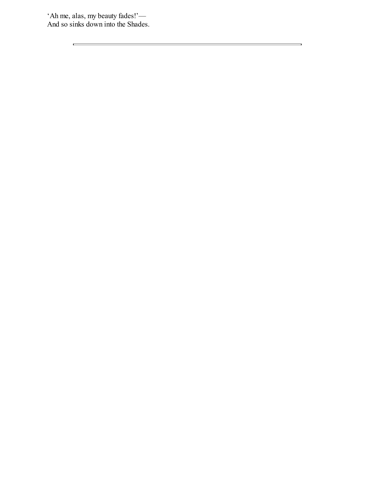'Ah me, alas, my beauty fades!'— And so sinks down into the Shades.

 $\blacksquare$ 

 $\qquad \qquad \blacksquare$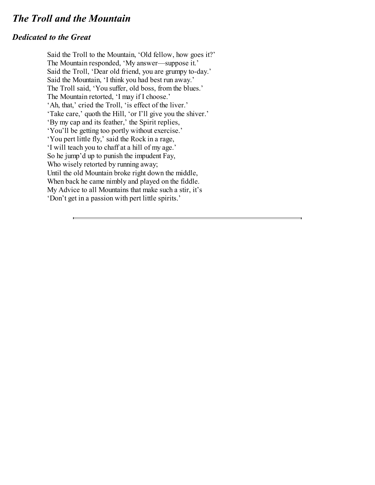# <span id="page-9-0"></span>*The Troll and the Mountain*

#### *Dedicated to the Great*

Said the Troll to the Mountain, 'Old fellow, how goes it?' The Mountain responded, 'My answer—suppose it.' Said the Troll, 'Dear old friend, you are grumpy to-day.' Said the Mountain, 'I think you had best run away.' The Troll said, 'You suffer, old boss, from the blues.' The Mountain retorted, 'I may if I choose.' 'Ah, that,' cried the Troll, 'is effect of the liver.' 'Take care,' quoth the Hill, 'or I'll give you the shiver.' 'By my cap and its feather,' the Spirit replies, 'You'll be getting too portly without exercise.' 'You pert little fly,' said the Rock in a rage, 'I will teach you to chaff at a hill of my age.' So he jump'd up to punish the impudent Fay, Who wisely retorted by running away; Until the old Mountain broke right down the middle, When back he came nimbly and played on the fiddle. My Advice to all Mountains that make such a stir, it's 'Don't get in a passion with pert little spirits.'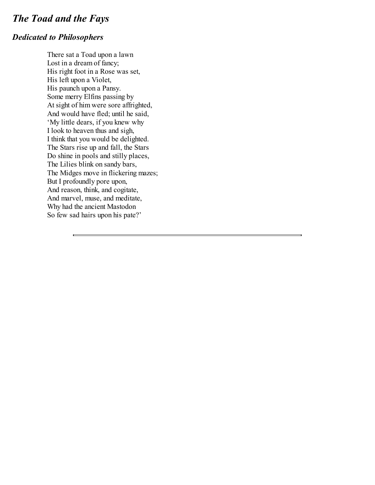# <span id="page-10-0"></span>*The Toad and the Fays*

### *Dedicated to Philosophers*

There sat a Toad upon a lawn Lost in a dream of fancy; His right foot in a Rose was set, His left upon a Violet, His paunch upon a Pansy. Some merry Elfins passing by At sight of him were sore affrighted, And would have fled; until he said, 'My little dears, if you knew why I look to heaven thus and sigh, I think that you would be delighted. The Stars rise up and fall, the Stars Do shine in pools and stilly places, The Lilies blink on sandy bars, The Midges move in flickering mazes; But I profoundly pore upon, And reason, think, and cogitate, And marvel, muse, and meditate, Why had the ancient Mastodon So few sad hairs upon his pate?'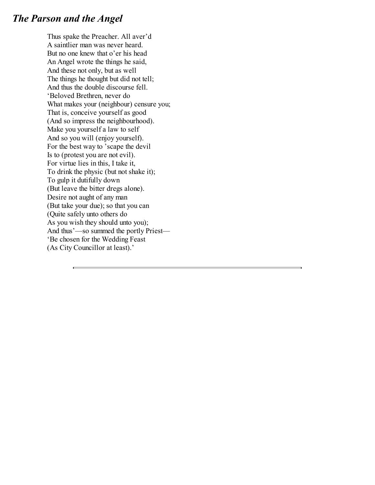# <span id="page-11-0"></span>*The Parson and the Angel*

Thus spake the Preacher. All aver'd A saintlier man was never heard. But no one knew that o'er his head An Angel wrote the things he said, And these not only, but as well The things he thought but did not tell; And thus the double discourse fell. 'Beloved Brethren, never do What makes your (neighbour) censure you; That is, conceive yourself as good (And so impress the neighbourhood). Make you yourself a law to self And so you will (enjoy yourself). For the best way to 'scape the devil Is to (protest you are not evil). For virtue lies in this, I take it, To drink the physic (but not shake it); To gulp it dutifully down (But leave the bitter dregs alone). Desire not aught of any man (But take your due); so that you can (Quite safely unto others do As you wish they should unto you); And thus'—so summed the portly Priest— 'Be chosen for the Wedding Feast (As City Councillor at least).'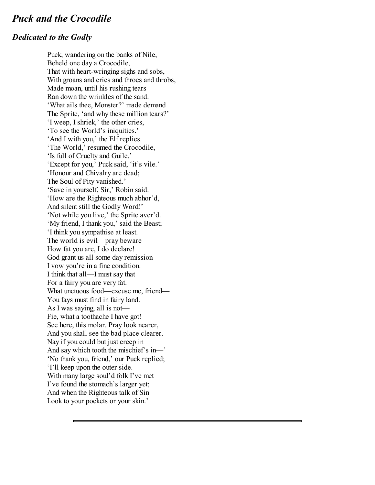# <span id="page-12-0"></span>*Puck and the Crocodile*

#### *Dedicated to the Godly*

Puck, wandering on the banks of Nile, Beheld one day a Crocodile, That with heart-wringing sighs and sobs, With groans and cries and throes and throbs, Made moan, until his rushing tears Ran down the wrinkles of the sand. 'What ails thee, Monster?' made demand The Sprite, 'and why these million tears?' 'I weep, I shriek,' the other cries, 'To see the World's iniquities.' 'And I with you,' the Elf replies. 'The World,' resumed the Crocodile, 'Is full of Cruelty and Guile.' 'Except for you,' Puck said, 'it's vile.' 'Honour and Chivalry are dead; The Soul of Pity vanished.' 'Save in yourself, Sir,' Robin said. 'How are the Righteous much abhor'd, And silent still the Godly Word!' 'Not while you live,' the Sprite aver'd. 'My friend, I thank you,' said the Beast; 'I think you sympathise at least. The world is evil—pray beware— How fat you are, I do declare! God grant us all some day remission— I vow you're in a fine condition. I think that all—I must say that For a fairy you are very fat. What unctuous food—excuse me, friend— You fays must find in fairy land. As I was saying, all is not— Fie, what a toothache I have got! See here, this molar. Pray look nearer, And you shall see the bad place clearer. Nay if you could but just creep in And say which tooth the mischief's in—' 'No thank you, friend,' our Puck replied; 'I'll keep upon the outer side. With many large soul'd folk I've met I've found the stomach's larger yet; And when the Righteous talk of Sin Look to your pockets or your skin.'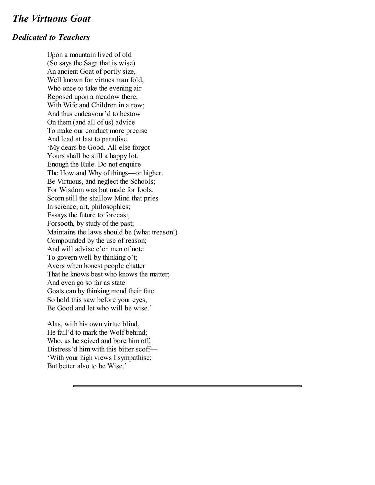### <span id="page-13-0"></span>*The Virtuous Goat*

#### *Dedicated to Teachers*

Upon a mountain lived of old (So says the Saga that is wise) An ancient Goat of portly size, Well known for virtues manifold, Who once to take the evening air Reposed upon a meadow there, With Wife and Children in a row; And thus endeavour'd to bestow On them (and all of us) advice To make our conduct more precise And lead at last to paradise. 'My dears be Good. All else forgot Yours shall be still a happy lot. Enough the Rule. Do not enquire The How and Why of things—or higher. Be Virtuous, and neglect the Schools; For Wisdom was but made for fools. Scorn still the shallow Mind that pries In science, art, philosophies; Essays the future to forecast, Forsooth, by study of the past; Maintains the laws should be (what treason!) Compounded by the use of reason; And will advise e'en men of note To govern well by thinking o't; Avers when honest people chatter That he knows best who knows the matter; And even go so far as state Goats can by thinking mend their fate. So hold this saw before your eyes, Be Good and let who will be wise.'

Alas, with his own virtue blind, He fail'd to mark the Wolf behind; Who, as he seized and bore him off, Distress'd him with this bitter scoff— 'With your high views I sympathise; But better also to be Wise.'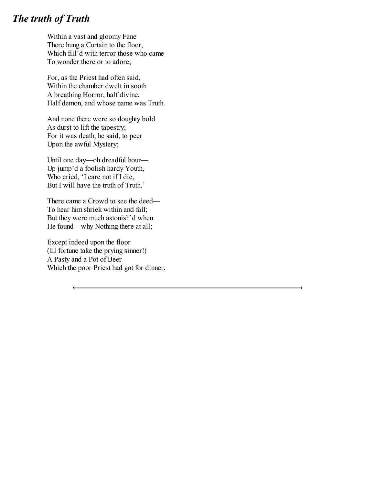# <span id="page-14-0"></span>*The truth of Truth*

Within a vast and gloomy Fane There hung a Curtain to the floor, Which fill'd with terror those who came To wonder there or to adore;

For, as the Priest had often said, Within the chamber dwelt in sooth A breathing Horror, half divine, Half demon, and whose name was Truth.

And none there were so doughty bold As durst to lift the tapestry; For it was death, he said, to peer Upon the awful Mystery;

Until one day—oh dreadful hour— Up jump'd a foolish hardy Youth, Who cried, 'I care not if I die, But I will have the truth of Truth.'

There came a Crowd to see the deed— To hear him shriek within and fall; But they were much astonish'd when He found—why Nothing there at all;

Except indeed upon the floor (Ill fortune take the prying sinner!) A Pasty and a Pot of Beer Which the poor Priest had got for dinner.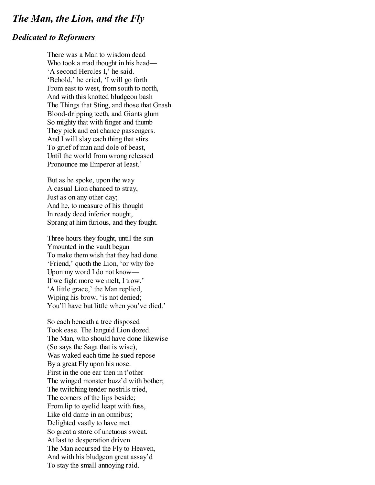### <span id="page-15-0"></span>*The Man, the Lion, and the Fly*

#### *Dedicated to Reformers*

There was a Man to wisdom dead Who took a mad thought in his head— 'A second Hercles I,' he said. 'Behold,' he cried, 'I will go forth From east to west, from south to north, And with this knotted bludgeon bash The Things that Sting, and those that Gnash Blood-dripping teeth, and Giants glum So mighty that with finger and thumb They pick and eat chance passengers. And I will slay each thing that stirs To grief of man and dole of beast, Until the world from wrong released Pronounce me Emperor at least.'

But as he spoke, upon the way A casual Lion chanced to stray, Just as on any other day; And he, to measure of his thought In ready deed inferior nought, Sprang at him furious, and they fought.

Three hours they fought, until the sun Ymounted in the vault begun To make them wish that they had done. 'Friend,' quoth the Lion, 'or why foe Upon my word I do not know— If we fight more we melt, I trow.' 'A little grace,' the Man replied, Wiping his brow, 'is not denied; You'll have but little when you've died.'

So each beneath a tree disposed Took ease. The languid Lion dozed. The Man, who should have done likewise (So says the Saga that is wise), Was waked each time he sued repose By a great Fly upon his nose. First in the one ear then in t'other The winged monster buzz'd with bother; The twitching tender nostrils tried, The corners of the lips beside; From lip to eyelid leapt with fuss, Like old dame in an omnibus; Delighted vastly to have met So great a store of unctuous sweat. At last to desperation driven The Man accursed the Fly to Heaven, And with his bludgeon great assay'd To stay the small annoying raid.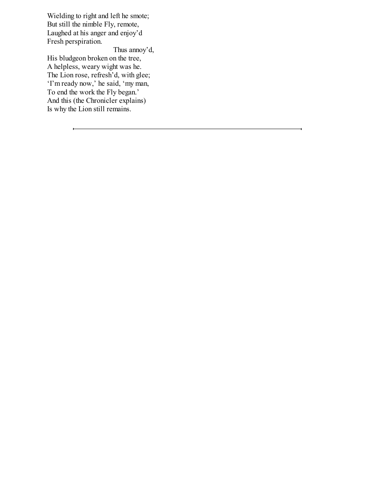Wielding to right and left he smote; But still the nimble Fly, remote, Laughed at his anger and enjoy'd Fresh perspiration.

Thus annoy'd, His bludgeon broken on the tree, A helpless, weary wight was he. The Lion rose, refresh'd, with glee; 'I'm ready now,' he said, 'my man, To end the work the Fly began.' And this (the Chronicler explains) Is why the Lion still remains.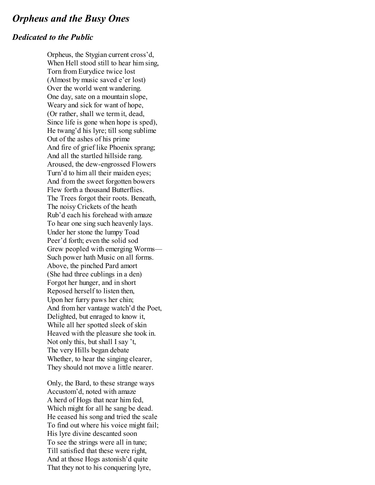### <span id="page-17-0"></span>*Orpheus and the Busy Ones*

#### *Dedicated to the Public*

Orpheus, the Stygian current cross'd, When Hell stood still to hear him sing, Torn from Eurydice twice lost (Almost by music saved e'er lost) Over the world went wandering. One day, sate on a mountain slope, Weary and sick for want of hope, (Or rather, shall we term it, dead, Since life is gone when hope is sped), He twang'd his lyre; till song sublime Out of the ashes of his prime And fire of grief like Phoenix sprang; And all the startled hillside rang. Aroused, the dew-engrossed Flowers Turn'd to him all their maiden eyes; And from the sweet forgotten bowers Flew forth a thousand Butterflies. The Trees forgot their roots. Beneath, The noisy Crickets of the heath Rub'd each his forehead with amaze To hear one sing such heavenly lays. Under her stone the lumpy Toad Peer'd forth; even the solid sod Grew peopled with emerging Worms— Such power hath Music on all forms. Above, the pinched Pard amort (She had three cublings in a den) Forgot her hunger, and in short Reposed herself to listen then, Upon her furry paws her chin; And from her vantage watch'd the Poet, Delighted, but enraged to know it, While all her spotted sleek of skin Heaved with the pleasure she took in. Not only this, but shall I say 't, The very Hills began debate Whether, to hear the singing clearer, They should not move a little nearer.

Only, the Bard, to these strange ways Accustom'd, noted with amaze A herd of Hogs that near him fed, Which might for all he sang be dead. He ceased his song and tried the scale To find out where his voice might fail; His lyre divine descanted soon To see the strings were all in tune; Till satisfied that these were right, And at those Hogs astonish'd quite That they not to his conquering lyre,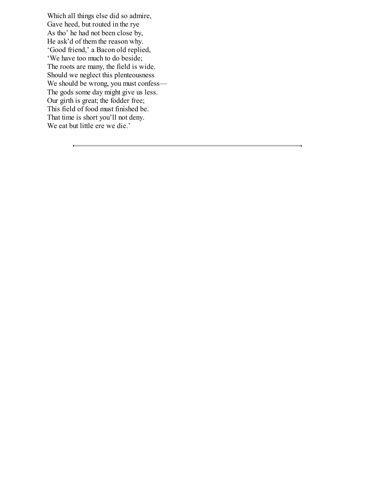Which all things else did so admire, Gave heed, but routed in the rye As tho' he had not been close by, He ask'd of them the reason why. 'Good friend,' a Bacon old replied, 'We have too much to do beside; The roots are many, the field is wide. Should we neglect this plenteousness We should be wrong, you must confess— The gods some day might give us less. Our girth is great; the fodder free; This field of food must finished be. That time is short you'll not deny. We eat but little ere we die.'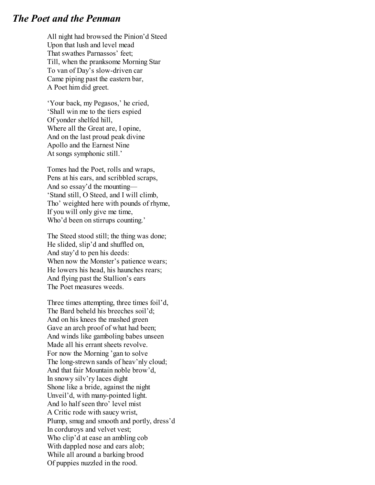### <span id="page-19-0"></span>*The Poet and the Penman*

All night had browsed the Pinion'd Steed Upon that lush and level mead That swathes Parnassos' feet; Till, when the pranksome Morning Star To van of Day's slow-driven car Came piping past the eastern bar, A Poet him did greet.

'Your back, my Pegasos,' he cried, 'Shall win me to the tiers espied Of yonder shelfed hill, Where all the Great are, I opine, And on the last proud peak divine Apollo and the Earnest Nine At songs symphonic still.'

Tomes had the Poet, rolls and wraps, Pens at his ears, and scribbled scraps, And so essay'd the mounting— 'Stand still, O Steed, and I will climb, Tho' weighted here with pounds of rhyme, If you will only give me time, Who'd been on stirrups counting.'

The Steed stood still; the thing was done; He slided, slip'd and shuffled on, And stay'd to pen his deeds: When now the Monster's patience wears; He lowers his head, his haunches rears; And flying past the Stallion's ears The Poet measures weeds.

Three times attempting, three times foil'd, The Bard beheld his breeches soil'd; And on his knees the mashed green Gave an arch proof of what had been; And winds like gamboling babes unseen Made all his errant sheets revolve. For now the Morning 'gan to solve The long-strewn sands of heav'nly cloud; And that fair Mountain noble brow'd, In snowy silv'ry laces dight Shone like a bride, against the night Unveil'd, with many-pointed light. And lo half seen thro' level mist A Critic rode with saucy wrist, Plump, smug and smooth and portly, dress'd In corduroys and velvet vest; Who clip'd at ease an ambling cob With dappled nose and ears alob; While all around a barking brood Of puppies nuzzled in the rood.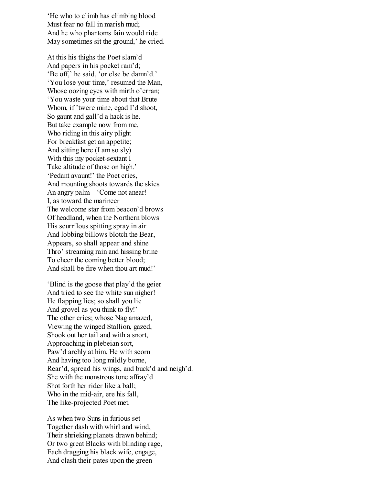'He who to climb has climbing blood Must fear no fall in marish mud; And he who phantoms fain would ride May sometimes sit the ground,' he cried.

At this his thighs the Poet slam'd And papers in his pocket ram'd; 'Be off,' he said, 'or else be damn'd.' 'You lose your time,' resumed the Man, Whose oozing eyes with mirth o'erran; 'You waste your time about that Brute Whom, if 'twere mine, egad I'd shoot, So gaunt and gall'd a hack is he. But take example now from me, Who riding in this airy plight For breakfast get an appetite; And sitting here (I am so sly) With this my pocket-sextant I Take altitude of those on high.' 'Pedant avaunt!' the Poet cries, And mounting shoots towards the skies An angry palm—'Come not anear! I, as toward the marineer The welcome star from beacon'd brows Of headland, when the Northern blows His scurrilous spitting spray in air And lobbing billows blotch the Bear, Appears, so shall appear and shine Thro' streaming rain and hissing brine To cheer the coming better blood; And shall be fire when thou art mud!'

'Blind is the goose that play'd the geier And tried to see the white sun nigher!— He flapping lies; so shall you lie And grovel as you think to fly!' The other cries; whose Nag amazed, Viewing the winged Stallion, gazed, Shook out her tail and with a snort, Approaching in plebeian sort, Paw'd archly at him. He with scorn And having too long mildly borne, Rear'd, spread his wings, and buck'd and neigh'd. She with the monstrous tone affray'd Shot forth her rider like a ball; Who in the mid-air, ere his fall, The like-projected Poet met.

As when two Suns in furious set Together dash with whirl and wind, Their shrieking planets drawn behind; Or two great Blacks with blinding rage, Each dragging his black wife, engage, And clash their pates upon the green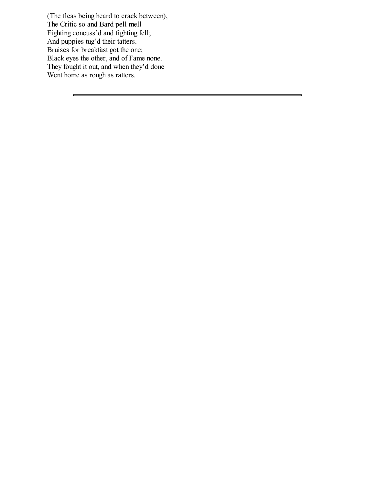(The fleas being heard to crack between), The Critic so and Bard pell mell Fighting concuss'd and fighting fell; And puppies tug'd their tatters. Bruises for breakfast got the one; Black eyes the other, and of Fame none. They fought it out, and when they'd done Went home as rough as ratters.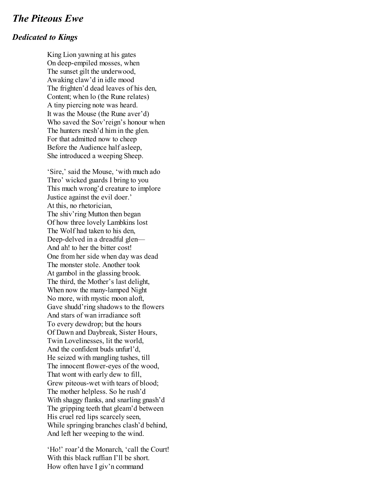### <span id="page-22-0"></span>*The Piteous Ewe*

#### *Dedicated to Kings*

King Lion yawning at his gates On deep-empiled mosses, when The sunset gilt the underwood, Awaking claw'd in idle mood The frighten'd dead leaves of his den, Content; when lo (the Rune relates) A tiny piercing note was heard. It was the Mouse (the Rune aver'd) Who saved the Sov'reign's honour when The hunters mesh'd him in the glen. For that admitted now to cheep Before the Audience half asleep, She introduced a weeping Sheep.

'Sire,' said the Mouse, 'with much ado Thro' wicked guards I bring to you This much wrong'd creature to implore Justice against the evil doer.' At this, no rhetorician, The shiv'ring Mutton then began Of how three lovely Lambkins lost The Wolf had taken to his den, Deep-delved in a dreadful glen— And ah! to her the bitter cost! One from her side when day was dead The monster stole. Another took At gambol in the glassing brook. The third, the Mother's last delight, When now the many-lamped Night No more, with mystic moon aloft, Gave shudd'ring shadows to the flowers And stars of wan irradiance soft To every dewdrop; but the hours Of Dawn and Daybreak, Sister Hours, Twin Lovelinesses, lit the world, And the confident buds unfurl'd, He seized with mangling tushes, till The innocent flower-eyes of the wood, That wont with early dew to fill, Grew piteous-wet with tears of blood; The mother helpless. So he rush'd With shaggy flanks, and snarling gnash'd The gripping teeth that gleam'd between His cruel red lips scarcely seen, While springing branches clash'd behind, And left her weeping to the wind.

'Ho!' roar'd the Monarch, 'call the Court! With this black ruffian I'll be short. How often have I giv'n command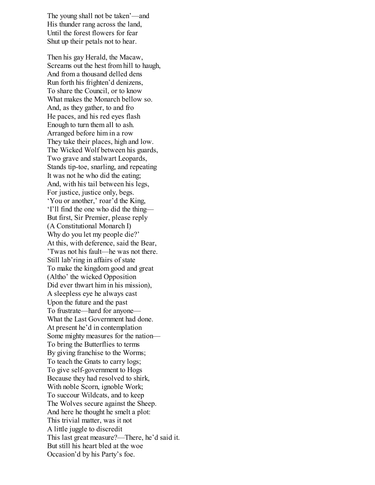The young shall not be taken'—and His thunder rang across the land, Until the forest flowers for fear Shut up their petals not to hear.

Then his gay Herald, the Macaw, Screams out the hest from hill to haugh, And from a thousand delled dens Run forth his frighten'd denizens, To share the Council, or to know What makes the Monarch bellow so. And, as they gather, to and fro He paces, and his red eyes flash Enough to turn them all to ash. Arranged before him in a row They take their places, high and low. The Wicked Wolf between his guards, Two grave and stalwart Leopards, Stands tip-toe, snarling, and repeating It was not he who did the eating; And, with his tail between his legs, For justice, justice only, begs. 'You or another,' roar'd the King, 'I'll find the one who did the thing— But first, Sir Premier, please reply (A Constitutional Monarch I) Why do you let my people die?' At this, with deference, said the Bear, 'Twas not his fault—he was not there. Still lab'ring in affairs of state To make the kingdom good and great (Altho' the wicked Opposition Did ever thwart him in his mission), A sleepless eye he always cast Upon the future and the past To frustrate—hard for anyone— What the Last Government had done. At present he'd in contemplation Some mighty measures for the nation— To bring the Butterflies to terms By giving franchise to the Worms; To teach the Gnats to carry logs; To give self-government to Hogs Because they had resolved to shirk, With noble Scorn, ignoble Work; To succour Wildcats, and to keep The Wolves secure against the Sheep. And here he thought he smelt a plot: This trivial matter, was it not A little juggle to discredit This last great measure?—There, he'd said it. But still his heart bled at the woe Occasion'd by his Party's foe.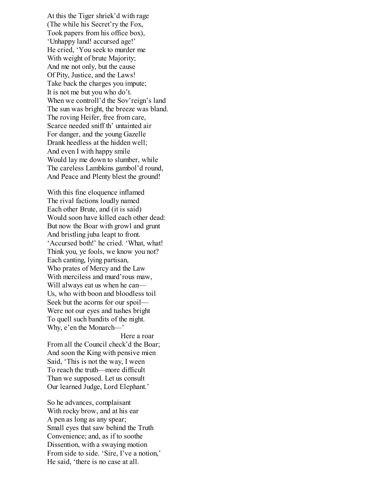At this the Tiger shriek'd with rage (The while his Secret'ry the Fox, Took papers from his office box), 'Unhappy land! accursed age!' He cried, 'You seek to murder me With weight of brute Majority; And me not only, but the cause Of Pity, Justice, and the Laws! Take back the charges you impute; It is not me but you who do't. When we controll'd the Sov'reign's land The sun was bright, the breeze was bland. The roving Heifer, free from care, Scarce needed sniff th' untainted air For danger, and the young Gazelle Drank heedless at the hidden well; And even I with happy smile Would lay me down to slumber, while The careless Lambkins gambol'd round, And Peace and Plenty blest the ground!

With this fine eloquence inflamed The rival factions loudly named Each other Brute, and (it is said) Would soon have killed each other dead: But now the Boar with growl and grunt And bristling juba leapt to front. 'Accursed both!' he cried. 'What, what! Think you, ye fools, we know you not? Each canting, lying partisan, Who prates of Mercy and the Law With merciless and murd'rous maw, Will always eat us when he can— Us, who with boon and bloodless toil Seek but the acorns for our spoil— Were not our eyes and tushes bright To quell such bandits of the night. Why, e'en the Monarch—'

Here a roar From all the Council check'd the Boar; And soon the King with pensive mien Said, 'This is not the way, I ween To reach the truth—more difficult Than we supposed. Let us consult Our learned Judge, Lord Elephant.'

So he advances, complaisant With rocky brow, and at his ear A pen as long as any spear; Small eyes that saw behind the Truth Convenience; and, as if to soothe Dissention, with a swaying motion From side to side. 'Sire, I've a notion,' He said, 'there is no case at all.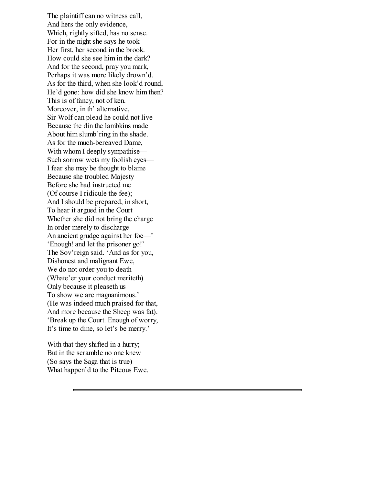The plaintiff can no witness call, And hers the only evidence, Which, rightly sifted, has no sense. For in the night she says he took Her first, her second in the brook. How could she see him in the dark? And for the second, pray you mark, Perhaps it was more likely drown'd. As for the third, when she look'd round, He'd gone: how did she know him then? This is of fancy, not of ken. Moreover, in th' alternative, Sir Wolf can plead he could not live Because the din the lambkins made About him slumb'ring in the shade. As for the much-bereaved Dame, With whom I deeply sympathise— Such sorrow wets my foolish eyes— I fear she may be thought to blame Because she troubled Majesty Before she had instructed me (Of course I ridicule the fee); And I should be prepared, in short, To hear it argued in the Court Whether she did not bring the charge In order merely to discharge An ancient grudge against her foe—' 'Enough! and let the prisoner go!' The Sov'reign said. 'And as for you, Dishonest and malignant Ewe, We do not order you to death (Whate'er your conduct meriteth) Only because it pleaseth us To show we are magnanimous.' (He was indeed much praised for that, And more because the Sheep was fat). 'Break up the Court. Enough of worry, It's time to dine, so let's be merry.'

With that they shifted in a hurry; But in the scramble no one knew (So says the Saga that is true) What happen'd to the Piteous Ewe.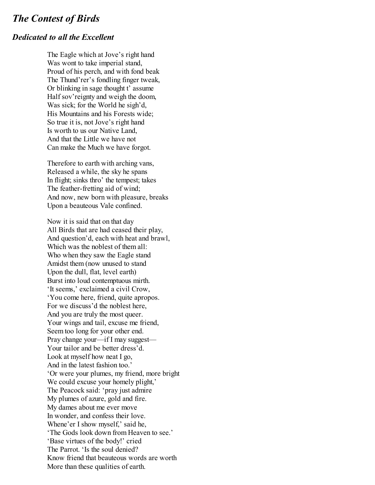### <span id="page-26-0"></span>*The Contest of Birds*

### *Dedicated to all the Excellent*

The Eagle which at Jove's right hand Was wont to take imperial stand, Proud of his perch, and with fond beak The Thund'rer's fondling finger tweak, Or blinking in sage thought t' assume Half sov'reignty and weigh the doom, Was sick; for the World he sigh'd, His Mountains and his Forests wide; So true it is, not Jove's right hand Is worth to us our Native Land, And that the Little we have not Can make the Much we have forgot.

Therefore to earth with arching vans, Released a while, the sky he spans In flight; sinks thro' the tempest; takes The feather-fretting aid of wind; And now, new born with pleasure, breaks Upon a beauteous Vale confined.

Now it is said that on that day All Birds that are had ceased their play, And question'd, each with heat and brawl, Which was the noblest of them all: Who when they saw the Eagle stand Amidst them (now unused to stand Upon the dull, flat, level earth) Burst into loud contemptuous mirth. 'It seems,' exclaimed a civil Crow, 'You come here, friend, quite apropos. For we discuss'd the noblest here, And you are truly the most queer. Your wings and tail, excuse me friend, Seem too long for your other end. Pray change your—if I may suggest— Your tailor and be better dress'd. Look at myself how neat I go, And in the latest fashion too.' 'Or were your plumes, my friend, more bright We could excuse your homely plight,' The Peacock said: 'pray just admire My plumes of azure, gold and fire. My dames about me ever move In wonder, and confess their love. Whene'er I show myself,' said he, 'The Gods look down from Heaven to see.' 'Base virtues of the body!' cried The Parrot. 'Is the soul denied? Know friend that beauteous words are worth More than these qualities of earth.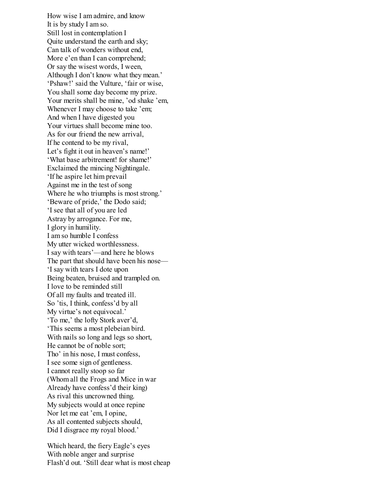How wise I am admire, and know It is by study I am so. Still lost in contemplation I Quite understand the earth and sky; Can talk of wonders without end, More e'en than I can comprehend: Or say the wisest words, I ween, Although I don't know what they mean.' 'Pshaw!' said the Vulture, 'fair or wise, You shall some day become my prize. Your merits shall be mine, 'od shake 'em, Whenever I may choose to take 'em; And when I have digested you Your virtues shall become mine too. As for our friend the new arrival, If he contend to be my rival, Let's fight it out in heaven's name!' 'What base arbitrement! for shame!' Exclaimed the mincing Nightingale. 'If he aspire let him prevail Against me in the test of song Where he who triumphs is most strong.' 'Beware of pride,' the Dodo said; 'I see that all of you are led Astray by arrogance. For me, I glory in humility. I am so humble I confess My utter wicked worthlessness. I say with tears'—and here he blows The part that should have been his nose— 'I say with tears I dote upon Being beaten, bruised and trampled on. I love to be reminded still Of all my faults and treated ill. So 'tis, I think, confess'd by all My virtue's not equivocal.' 'To me,' the lofty Stork aver'd, 'This seems a most plebeian bird. With nails so long and legs so short, He cannot be of noble sort; Tho' in his nose, I must confess, I see some sign of gentleness. I cannot really stoop so far (Whom all the Frogs and Mice in war Already have confess'd their king) As rival this uncrowned thing. My subjects would at once repine Nor let me eat 'em, I opine, As all contented subjects should, Did I disgrace my royal blood.'

Which heard, the fiery Eagle's eyes With noble anger and surprise Flash'd out. 'Still dear what is most cheap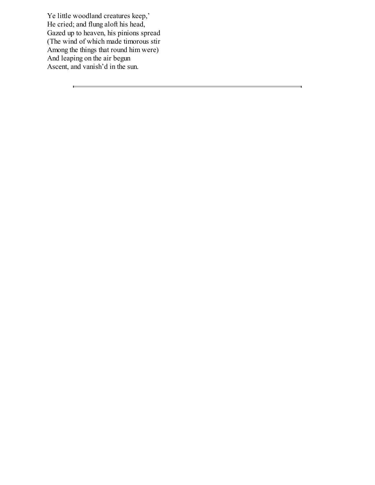Ye little woodland creatures keep,' He cried; and flung aloft his head, Gazed up to heaven, his pinions spread (The wind of which made timorous stir Among the things that round him were) And leaping on the air begun Ascent, and vanish'd in the sun.

 $\frac{1}{2} \left( \frac{1}{2} \right)^2 \left( \frac{1}{2} \right)^2 \left( \frac{1}{2} \right)^2 \left( \frac{1}{2} \right)^2$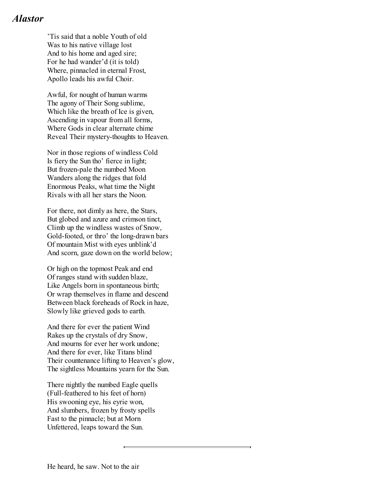# <span id="page-29-0"></span>*Alastor*

'Tis said that a noble Youth of old Was to his native village lost And to his home and aged sire; For he had wander'd (it is told) Where, pinnacled in eternal Frost, Apollo leads his awful Choir.

Awful, for nought of human warms The agony of Their Song sublime, Which like the breath of Ice is given, Ascending in vapour from all forms, Where Gods in clear alternate chime Reveal Their mystery-thoughts to Heaven.

Nor in those regions of windless Cold Is fiery the Sun tho' fierce in light; But frozen-pale the numbed Moon Wanders along the ridges that fold Enormous Peaks, what time the Night Rivals with all her stars the Noon.

For there, not dimly as here, the Stars, But globed and azure and crimson tinct, Climb up the windless wastes of Snow, Gold-footed, or thro' the long-drawn bars Of mountain Mist with eyes unblink'd And scorn, gaze down on the world below;

Or high on the topmost Peak and end Of ranges stand with sudden blaze, Like Angels born in spontaneous birth; Or wrap themselves in flame and descend Between black foreheads of Rock in haze, Slowly like grieved gods to earth.

And there for ever the patient Wind Rakes up the crystals of dry Snow, And mourns for ever her work undone; And there for ever, like Titans blind Their countenance lifting to Heaven's glow, The sightless Mountains yearn for the Sun.

There nightly the numbed Eagle quells (Full-feathered to his feet of horn) His swooning eye, his eyrie won, And slumbers, frozen by frosty spells Fast to the pinnacle; but at Morn Unfettered, leaps toward the Sun.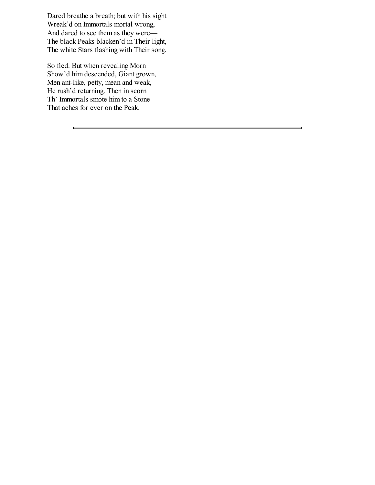Dared breathe a breath; but with his sight Wreak'd on Immortals mortal wrong, And dared to see them as they were— The black Peaks blacken'd in Their light, The white Stars flashing with Their song.

So fled. But when revealing Morn Show'd him descended, Giant grown, Men ant-like, petty, mean and weak, He rush'd returning. Then in scorn Th' Immortals smote him to a Stone That aches for ever on the Peak.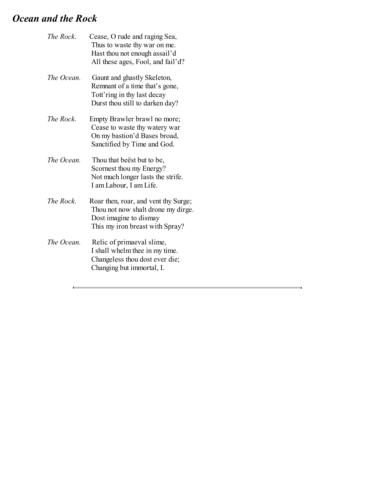# <span id="page-31-0"></span>*Ocean and the Rock*

| The Rock.  | Cease, O rude and raging Sea,<br>Thus to waste thy war on me.<br>Hast thou not enough assail'd<br>All these ages, Fool, and fail'd?     |
|------------|-----------------------------------------------------------------------------------------------------------------------------------------|
| The Ocean. | Gaunt and ghastly Skeleton,<br>Remnant of a time that's gone,<br>Tott'ring in thy last decay<br>Durst thou still to darken day?         |
| The Rock.  | Empty Brawler brawl no more;<br>Cease to waste thy watery war<br>On my bastion'd Bases broad,<br>Sanctified by Time and God.            |
| The Ocean. | Thou that beest but to be,<br>Scornest thou my Energy?<br>Not much longer lasts the strife.<br>I am Labour, I am Life.                  |
| The Rock.  | Roar then, roar, and vent thy Surge;<br>Thou not now shalt drone my dirge.<br>Dost imagine to dismay<br>This my iron breast with Spray? |
| The Ocean. | Relic of primaeval slime,<br>I shall whelm thee in my time.<br>Changeless thou dost ever die;<br>Changing but immortal, I.              |

<u> 1989 - Andrea Station Barbara, amerikan personal (h. 1989).</u>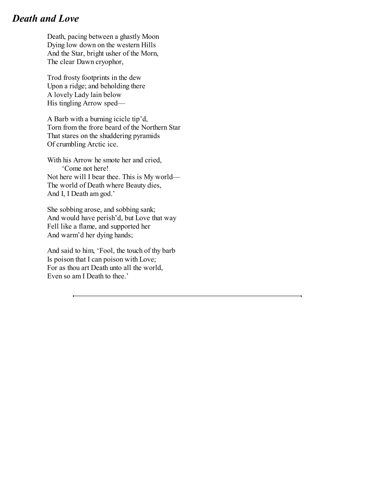# <span id="page-32-0"></span>*Death and Love*

Death, pacing between a ghastly Moon Dying low down on the western Hills And the Star, bright usher of the Morn, The clear Dawn cryophor,

Trod frosty footprints in the dew Upon a ridge; and beholding there A lovely Lady lain below His tingling Arrow sped—

A Barb with a burning icicle tip'd, Torn from the frore beard of the Northern Star That stares on the shuddering pyramids Of crumbling Arctic ice.

With his Arrow he smote her and cried, 'Come not here! Not here will I bear thee. This is My world— The world of Death where Beauty dies, And I, I Death am god.'

She sobbing arose, and sobbing sank; And would have perish'd, but Love that way Fell like a flame, and supported her And warm'd her dying hands;

And said to him, 'Fool, the touch of thy barb Is poison that I can poison with Love; For as thou art Death unto all the world, Even so am I Death to thee.'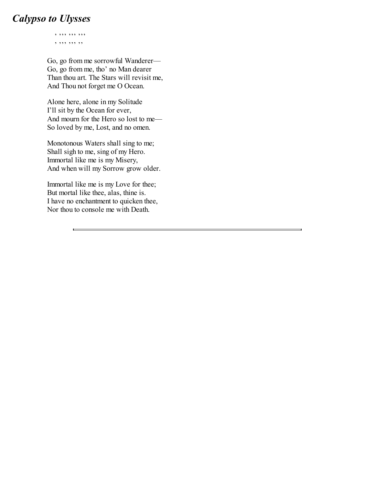# <span id="page-33-0"></span>*Calypso to Ulysses*

' ''' ''' ''' , , , , , , , ,

Go, go from me sorrowful Wanderer— Go, go from me, tho' no Man dearer Than thou art. The Stars will revisit me, And Thou not forget me O Ocean.

Alone here, alone in my Solitude I'll sit by the Ocean for ever, And mourn for the Hero so lost to me— So loved by me, Lost, and no omen.

Monotonous Waters shall sing to me; Shall sigh to me, sing of my Hero. Immortal like me is my Misery, And when will my Sorrow grow older.

Immortal like me is my Love for thee; But mortal like thee, alas, thine is. I have no enchantment to quicken thee, Nor thou to console me with Death.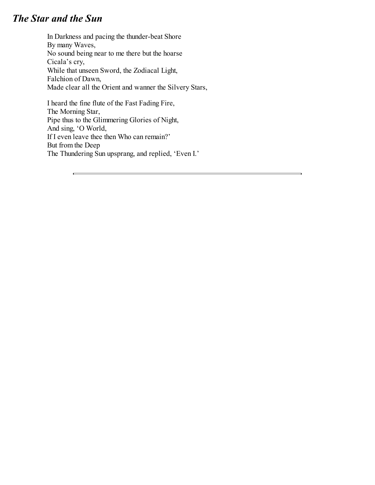# <span id="page-34-0"></span>*The Star and the Sun*

In Darkness and pacing the thunder-beat Shore By many Waves, No sound being near to me there but the hoarse Cicala's cry, While that unseen Sword, the Zodiacal Light, Falchion of Dawn, Made clear all the Orient and wanner the Silvery Stars,

I heard the fine flute of the Fast Fading Fire, The Morning Star, Pipe thus to the Glimmering Glories of Night, And sing, 'O World, If I even leave thee then Who can remain?' But from the Deep The Thundering Sun upsprang, and replied, 'Even I.'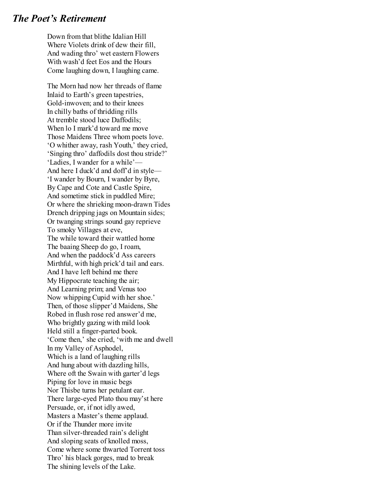### <span id="page-35-0"></span>*The Poet's Retirement*

Down from that blithe Idalian Hill Where Violets drink of dew their fill, And wading thro' wet eastern Flowers With wash'd feet Eos and the Hours Come laughing down, I laughing came.

The Morn had now her threads of flame Inlaid to Earth's green tapestries, Gold-inwoven; and to their knees In chilly baths of thridding rills At tremble stood luce Daffodils; When lo I mark'd toward me move Those Maidens Three whom poets love. 'O whither away, rash Youth,' they cried, 'Singing thro' daffodils dost thou stride?' 'Ladies, I wander for a while'— And here I duck'd and doff'd in style— 'I wander by Bourn, I wander by Byre, By Cape and Cote and Castle Spire, And sometime stick in puddled Mire; Or where the shrieking moon-drawn Tides Drench dripping jags on Mountain sides; Or twanging strings sound gay reprieve To smoky Villages at eve, The while toward their wattled home The baaing Sheep do go, I roam, And when the paddock'd Ass careers Mirthful, with high prick'd tail and ears. And I have left behind me there My Hippocrate teaching the air; And Learning prim; and Venus too Now whipping Cupid with her shoe.' Then, of those slipper'd Maidens, She Robed in flush rose red answer'd me, Who brightly gazing with mild look Held still a finger-parted book. 'Come then,' she cried, 'with me and dwell In my Valley of Asphodel, Which is a land of laughing rills And hung about with dazzling hills, Where oft the Swain with garter'd legs Piping for love in music begs Nor Thisbe turns her petulant ear. There large-eyed Plato thou may'st here Persuade, or, if not idly awed, Masters a Master's theme applaud. Or if the Thunder more invite Than silver-threaded rain's delight And sloping seats of knolled moss, Come where some thwarted Torrent toss Thro' his black gorges, mad to break The shining levels of the Lake.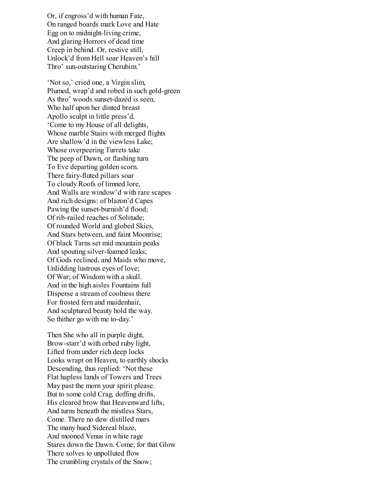Or, if engross'd with human Fate, On ranged boards mark Love and Hate Egg on to midnight-living crime, And glaring Horrors of dead time Creep in behind. Or, restive still, Unlock'd from Hell soar Heaven's hill Thro' sun-outstaring Cherubim.'

'Not so,' cried one, a Virgin slim, Plumed, wrap'd and robed in such gold-green As thro' woods sunset-dazed is seen, Who half upon her dinted breast Apollo sculpt in little press'd. 'Come to my House of all delights, Whose marble Stairs with merged flights Are shallow'd in the viewless Lake; Whose overpeering Turrets take The peep of Dawn, or flashing turn To Eve departing golden scorn. There fairy-fluted pillars soar To cloudy Roofs of limned lore, And Walls are window'd with rare scapes And rich designs: of blazon'd Capes Pawing the sunset-burnish'd flood; Of rib-railed reaches of Solitude; Of rounded World and globed Skies, And Stars between, and faint Moonrise; Of black Tarns set mid mountain peaks And spouting silver-foamed leaks; Of Gods reclined, and Maids who move, Unlidding lustrous eyes of love; Of War; of Wisdom with a skull. And in the high aisles Fountains full Disperse a stream of coolness there For frosted fern and maidenhair, And sculptured beauty hold the way. So thither go with me to-day.'

Then She who all in purple dight, Brow-starr'd with orbed ruby light, Lifted from under rich deep locks Looks wrapt on Heaven, to earthly shocks Descending, thus replied: 'Not these Flat hapless lands of Towers and Trees May past the morn your spirit please. But to some cold Crag, doffing drifts, His cleared brow that Heavenward lifts, And turns beneath the mistless Stars, Come. There no dew distilled mars The many hued Sidereal blaze, And mooned Venus in white rage Stares down the Dawn. Come; for that Glow There solves to unpolluted flow The crumbling crystals of the Snow;